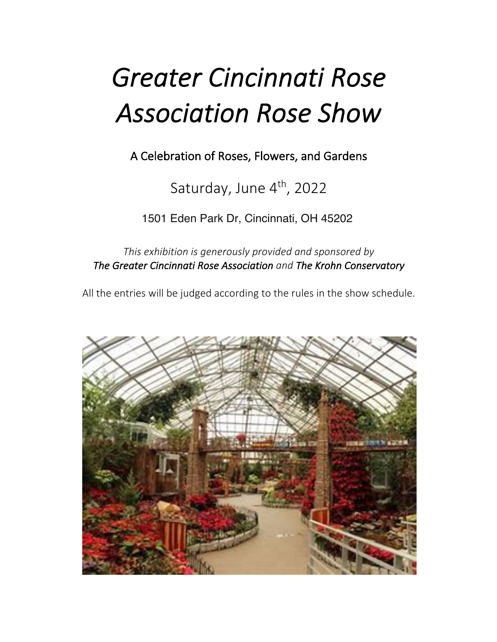# *Greater Cincinnati Rose Association Rose Show*

A Celebration of Roses, Flowers, and Gardens

# Saturday, June 4<sup>th</sup>, 2022

1501 Eden Park Dr, Cincinnati, OH 45202

*This exhibition is generously provided and sponsored by The Greater Cincinnati Rose Association and The Krohn Conservatory*

All the entries will be judged according to the rules in the show schedule.

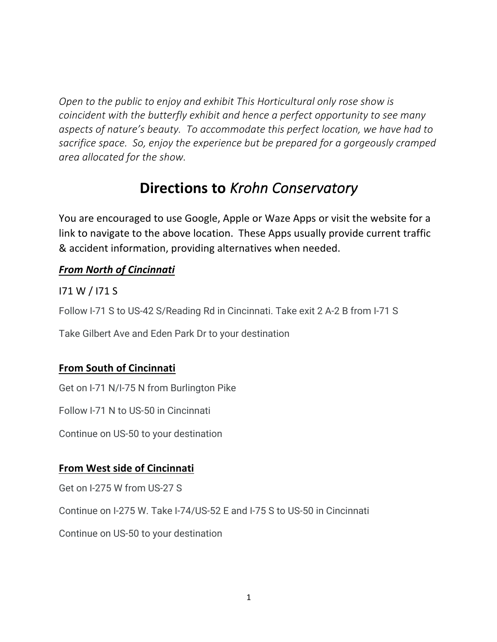*Open to the public to enjoy and exhibit This Horticultural only rose show is coincident with the butterfly exhibit and hence a perfect opportunity to see many aspects of nature's beauty. To accommodate this perfect location, we have had to sacrifice space. So, enjoy the experience but be prepared for a gorgeously cramped area allocated for the show.*

# **Directions to** *Krohn Conservatory*

You are encouraged to use Google, Apple or Waze Apps or visit the website for a link to navigate to the above location. These Apps usually provide current traffic & accident information, providing alternatives when needed.

## *From North of Cincinnati*

I71 W / I71 S

Follow I-71 S to US-42 S/Reading Rd in Cincinnati. Take exit 2 A-2 B from I-71 S

Take Gilbert Ave and Eden Park Dr to your destination

## **From South of Cincinnati**

Get on I-71 N/I-75 N from Burlington Pike

Follow I-71 N to US-50 in Cincinnati

Continue on US-50 to your destination

## **From West side of Cincinnati**

Get on I-275 W from US-27 S

Continue on I-275 W. Take I-74/US-52 E and I-75 S to US-50 in Cincinnati

Continue on US-50 to your destination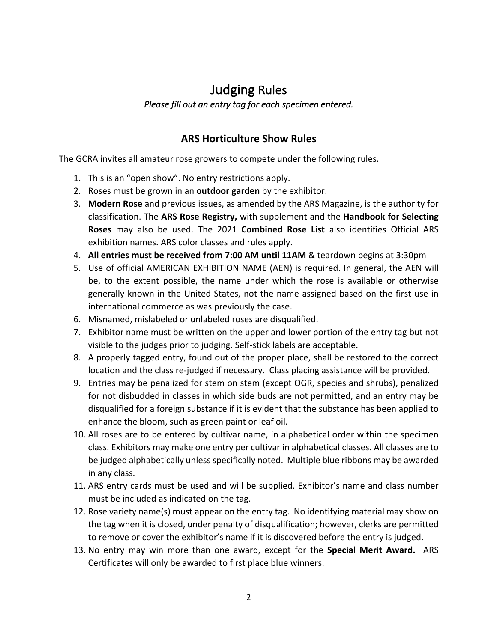# Judging Rules *Please fill out an entry tag for each specimen entered.*

### **ARS Horticulture Show Rules**

The GCRA invites all amateur rose growers to compete under the following rules.

- 1. This is an "open show". No entry restrictions apply.
- 2. Roses must be grown in an **outdoor garden** by the exhibitor.
- 3. **Modern Rose** and previous issues, as amended by the ARS Magazine, is the authority for classification. The **ARS Rose Registry,** with supplement and the **Handbook for Selecting Roses** may also be used. The 2021 **Combined Rose List** also identifies Official ARS exhibition names. ARS color classes and rules apply.
- 4. **All entries must be received from 7:00 AM until 11AM** & teardown begins at 3:30pm
- 5. Use of official AMERICAN EXHIBITION NAME (AEN) is required. In general, the AEN will be, to the extent possible, the name under which the rose is available or otherwise generally known in the United States, not the name assigned based on the first use in international commerce as was previously the case.
- 6. Misnamed, mislabeled or unlabeled roses are disqualified.
- 7. Exhibitor name must be written on the upper and lower portion of the entry tag but not visible to the judges prior to judging. Self-stick labels are acceptable.
- 8. A properly tagged entry, found out of the proper place, shall be restored to the correct location and the class re-judged if necessary. Class placing assistance will be provided.
- 9. Entries may be penalized for stem on stem (except OGR, species and shrubs), penalized for not disbudded in classes in which side buds are not permitted, and an entry may be disqualified for a foreign substance if it is evident that the substance has been applied to enhance the bloom, such as green paint or leaf oil.
- 10. All roses are to be entered by cultivar name, in alphabetical order within the specimen class. Exhibitors may make one entry per cultivar in alphabetical classes. All classes are to be judged alphabetically unless specifically noted. Multiple blue ribbons may be awarded in any class.
- 11. ARS entry cards must be used and will be supplied. Exhibitor's name and class number must be included as indicated on the tag.
- 12. Rose variety name(s) must appear on the entry tag. No identifying material may show on the tag when it is closed, under penalty of disqualification; however, clerks are permitted to remove or cover the exhibitor's name if it is discovered before the entry is judged.
- 13. No entry may win more than one award, except for the **Special Merit Award.** ARS Certificates will only be awarded to first place blue winners.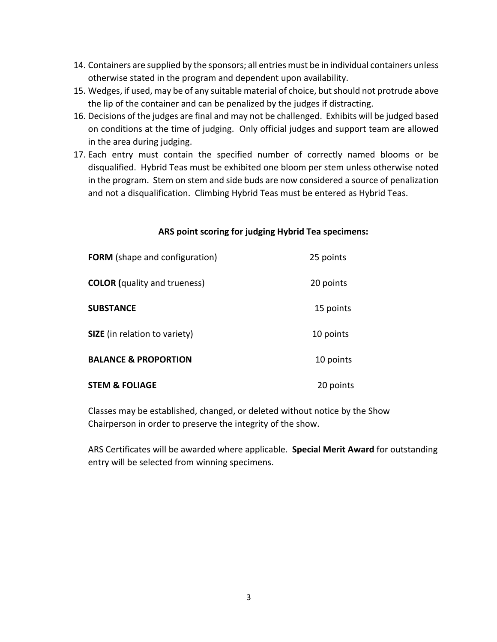- 14. Containers are supplied by the sponsors; all entries must be in individual containers unless otherwise stated in the program and dependent upon availability.
- 15. Wedges, if used, may be of any suitable material of choice, but should not protrude above the lip of the container and can be penalized by the judges if distracting.
- 16. Decisions of the judges are final and may not be challenged. Exhibits will be judged based on conditions at the time of judging. Only official judges and support team are allowed in the area during judging.
- 17. Each entry must contain the specified number of correctly named blooms or be disqualified. Hybrid Teas must be exhibited one bloom per stem unless otherwise noted in the program. Stem on stem and side buds are now considered a source of penalization and not a disqualification. Climbing Hybrid Teas must be entered as Hybrid Teas.

| <b>FORM</b> (shape and configuration) | 25 points |
|---------------------------------------|-----------|
| <b>COLOR</b> (quality and trueness)   | 20 points |
| <b>SUBSTANCE</b>                      | 15 points |
| <b>SIZE</b> (in relation to variety)  | 10 points |
| <b>BALANCE &amp; PROPORTION</b>       | 10 points |
| <b>STEM &amp; FOLIAGE</b>             | 20 points |

#### **ARS point scoring for judging Hybrid Tea specimens:**

Classes may be established, changed, or deleted without notice by the Show Chairperson in order to preserve the integrity of the show.

ARS Certificates will be awarded where applicable. **Special Merit Award** for outstanding entry will be selected from winning specimens.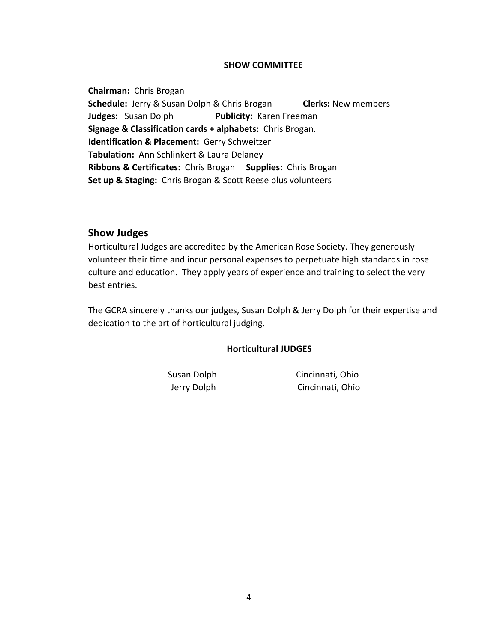#### **SHOW COMMITTEE**

**Chairman:** Chris Brogan **Schedule:** Jerry & Susan Dolph & Chris Brogan **Clerks:** New members **Judges:** Susan Dolph **Publicity:** Karen Freeman **Signage & Classification cards + alphabets:** Chris Brogan. **Identification & Placement:** Gerry Schweitzer **Tabulation:** Ann Schlinkert & Laura Delaney **Ribbons & Certificates:** Chris Brogan **Supplies:** Chris Brogan **Set up & Staging:** Chris Brogan & Scott Reese plus volunteers

#### **Show Judges**

Horticultural Judges are accredited by the American Rose Society. They generously volunteer their time and incur personal expenses to perpetuate high standards in rose culture and education. They apply years of experience and training to select the very best entries.

The GCRA sincerely thanks our judges, Susan Dolph & Jerry Dolph for their expertise and dedication to the art of horticultural judging.

#### **Horticultural JUDGES**

Susan Dolph Cincinnati, Ohio Jerry Dolph Cincinnati, Ohio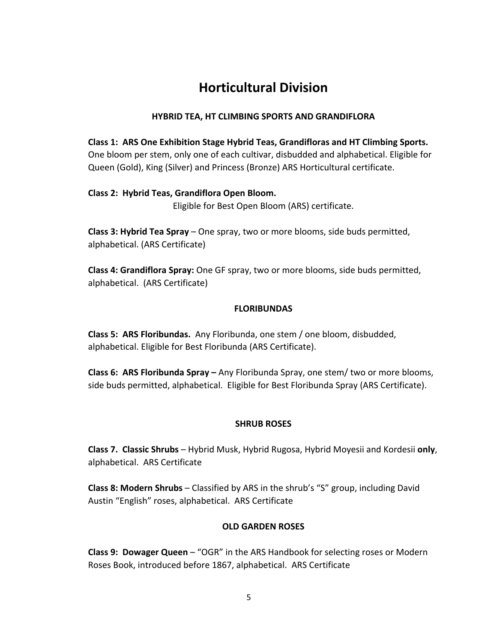# **Horticultural Division**

#### **HYBRID TEA, HT CLIMBING SPORTS AND GRANDIFLORA**

**Class 1: ARS One Exhibition Stage Hybrid Teas, Grandifloras and HT Climbing Sports.** One bloom per stem, only one of each cultivar, disbudded and alphabetical. Eligible for Queen (Gold), King (Silver) and Princess (Bronze) ARS Horticultural certificate.

#### **Class 2: Hybrid Teas, Grandiflora Open Bloom.**

Eligible for Best Open Bloom (ARS) certificate.

**Class 3: Hybrid Tea Spray** – One spray, two or more blooms, side buds permitted, alphabetical. (ARS Certificate)

**Class 4: Grandiflora Spray:** One GF spray, two or more blooms, side buds permitted, alphabetical. (ARS Certificate)

#### **FLORIBUNDAS**

**Class 5: ARS Floribundas.** Any Floribunda, one stem / one bloom, disbudded, alphabetical. Eligible for Best Floribunda (ARS Certificate).

**Class 6: ARS Floribunda Spray –** Any Floribunda Spray, one stem/ two or more blooms, side buds permitted, alphabetical. Eligible for Best Floribunda Spray (ARS Certificate).

#### **SHRUB ROSES**

**Class 7. Classic Shrubs** – Hybrid Musk, Hybrid Rugosa, Hybrid Moyesii and Kordesii **only**, alphabetical. ARS Certificate

**Class 8: Modern Shrubs** – Classified by ARS in the shrub's "S" group, including David Austin "English" roses, alphabetical. ARS Certificate

#### **OLD GARDEN ROSES**

**Class 9: Dowager Queen** – "OGR" in the ARS Handbook for selecting roses or Modern Roses Book, introduced before 1867, alphabetical. ARS Certificate